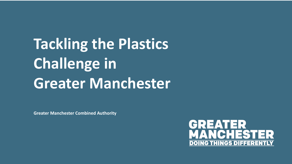# **Tackling the Plastics Challenge in Greater Manchester**

**Greater Manchester Combined Authority**

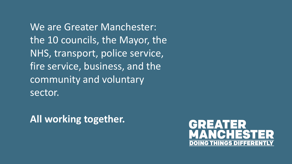We are Greater Manchester: the 10 councils, the Mayor, the NHS, transport, police service, fire service, business, and the community and voluntary sector.

**All working together.** 

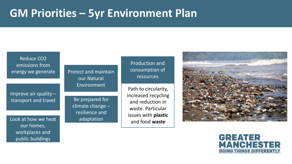### **GM Priorities – 5yr Environment Plan**

Reduce CO2 emissions from energy we generate

Improve air quality – transport and travel

Look at how we heat adaptation and food waste our homes, workplaces and public buildings

Protect and maintain our Natural Environment

> Be prepared for climate change – resilience and adaptation

Production and consumption of resources

Path to circularity, increased recycling and reduction in waste. Particular issues with **plastic**



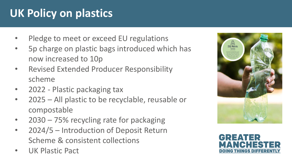# **UK Policy on plastics**

- Pledge to meet or exceed EU regulations
- 5p charge on plastic bags introduced which has now increased to 10p
- Revised Extended Producer Responsibility scheme
- 2022 Plastic packaging tax
- 2025 All plastic to be recyclable, reusable or compostable
- $2030 75%$  recycling rate for packaging
- 2024/5 Introduction of Deposit Return Scheme & consistent collections
- UK Plastic Pact



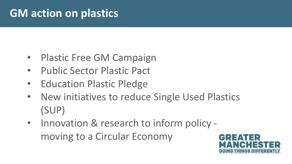## **GM action on plastics**

- Plastic Free GM Campaign
- Public Sector Plastic Pact
- Education Plastic Pledge
- New initiatives to reduce Single Used Plastics (SUP)
- Innovation & research to inform policy moving to a Circular Economy

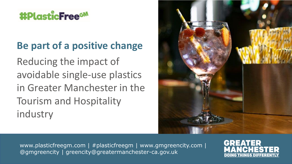## **#PlasticFreeGM**

#### **Be part of a positive change**

Reducing the impact of avoidable single-use plastics in Greater Manchester in the Tourism and Hospitality industry



www.plasticfreegm.com | #plasticfreegm | www.gmgreencity.com | @gmgreencity | greencity@greatermanchester-ca.gov.uk

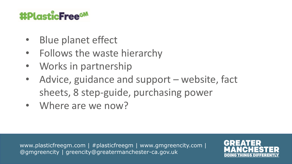## #PlasticFree<sup>GM</sup>

- Blue planet effect
- Follows the waste hierarchy
- Works in partnership
- Advice, guidance and support website, fact sheets, 8 step-guide, purchasing power
- Where are we now?

www.plasticfreegm.com | #plasticfreegm | www.gmgreencity.com | @gmgreencity | greencity@greatermanchester-ca.gov.uk

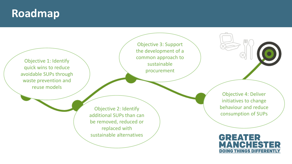#### **Roadmap**

Objective 1: Identify quick wins to reduce avoidable SUPs through waste prevention and reuse models

Objective 3: Support the development of a common approach to sustainable procurement

Objective 2: Identify additional SUPs than can be removed, reduced or replaced with sustainable alternatives

Objective 4: Deliver initiatives to change behaviour and reduce consumption of SUPs

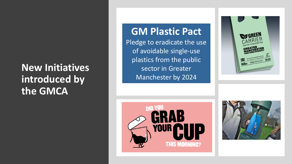#### **New Initiatives introduced by the GMCA**

**GM Plastic Pact**  Pledge to eradicate the use of avoidable single-use plastics from the public sector in Greater Manchester by 2024